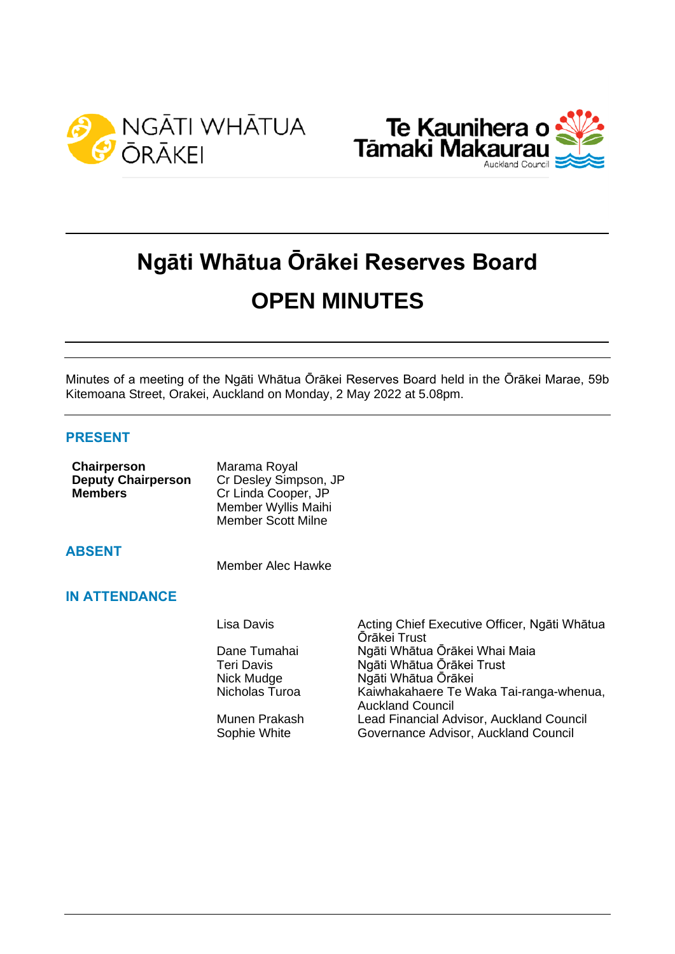



# **Ngāti Whātua Ōrākei Reserves Board OPEN MINUTES**

Minutes of a meeting of the Ngāti Whātua Ōrākei Reserves Board held in the Ōrākei Marae, 59b Kitemoana Street, Orakei, Auckland on Monday, 2 May 2022 at 5.08pm.

# **PRESENT**

| Chairperson<br><b>Deputy Chairperson</b><br><b>Members</b> | Marama Royal<br>Cr Desley Simpson, JP<br>Cr Linda Cooper, JP<br>Member Wyllis Maihi<br><b>Member Scott Milne</b> |
|------------------------------------------------------------|------------------------------------------------------------------------------------------------------------------|
| <b>ABSENT</b>                                              | Member Alec Hawke                                                                                                |
| <b>IN ATTENDANCE</b>                                       |                                                                                                                  |
|                                                            | Lisa Davis                                                                                                       |
|                                                            | Dane Tumahai                                                                                                     |

Acting Chief Executive Officer, Ngāti Whātua Ōrākei Trust Ngāti Whātua Ōrākei Whai Maia Teri Davis Ngāti Whātua Ōrākei Trust<br>Nick Mudge Ngāti Whātua Ōrākei Nick Mudge Ngāti Whātua Ōrākei<br>Nicholas Turoa Kaiwhakahaere Te W Kaiwhakahaere Te Waka Tai-ranga-whenua, Auckland Council Munen Prakash Lead Financial Advisor, Auckland Council Sophie White Governance Advisor, Auckland Council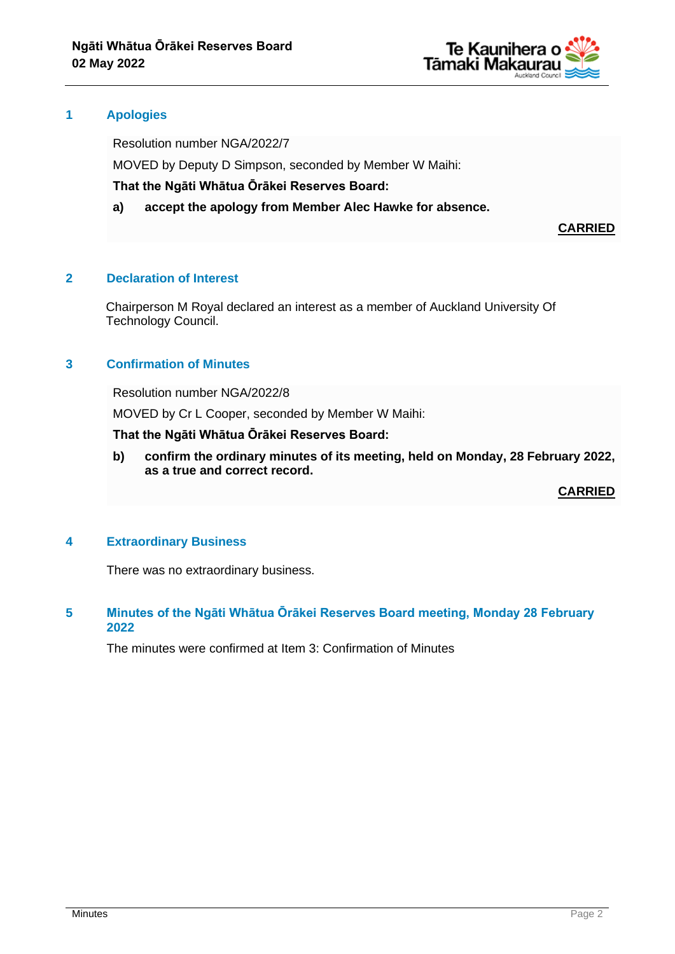

#### **1 Apologies**

Resolution number NGA/2022/7

MOVED by Deputy D Simpson, seconded by Member W Maihi:

**That the Ngāti Whātua Ōrākei Reserves Board:**

**a) accept the apology from Member Alec Hawke for absence.**

**CARRIED**

# **2 Declaration of Interest**

Chairperson M Royal declared an interest as a member of Auckland University Of Technology Council.

# **3 Confirmation of Minutes**

Resolution number NGA/2022/8

MOVED by Cr L Cooper, seconded by Member W Maihi:

#### **That the Ngāti Whātua Ōrākei Reserves Board:**

**b) confirm the ordinary minutes of its meeting, held on Monday, 28 February 2022, as a true and correct record.**

**CARRIED**

#### **4 Extraordinary Business**

There was no extraordinary business.

# **5 Minutes of the Ngāti Whātua Ōrākei Reserves Board meeting, Monday 28 February 2022**

The minutes were confirmed at Item 3: Confirmation of Minutes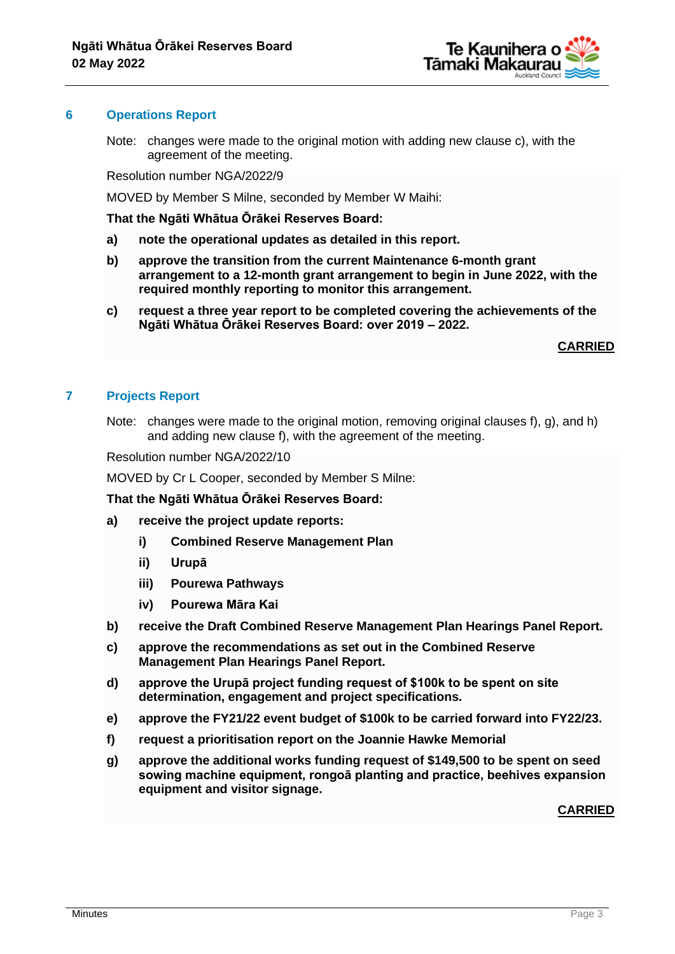

#### **6 Operations Report**

Note: changes were made to the original motion with adding new clause c), with the agreement of the meeting.

Resolution number NGA/2022/9

MOVED by Member S Milne, seconded by Member W Maihi:

**That the Ngāti Whātua Ōrākei Reserves Board:**

- **a) note the operational updates as detailed in this report.**
- **b) approve the transition from the current Maintenance 6-month grant arrangement to a 12-month grant arrangement to begin in June 2022, with the required monthly reporting to monitor this arrangement.**
- **c) request a three year report to be completed covering the achievements of the Ngāti Whātua Ōrākei Reserves Board: over 2019 – 2022.**

**CARRIED**

# **7 Projects Report**

Note: changes were made to the original motion, removing original clauses f), g), and h) and adding new clause f), with the agreement of the meeting.

Resolution number NGA/2022/10

MOVED by Cr L Cooper, seconded by Member S Milne:

**That the Ngāti Whātua Ōrākei Reserves Board:**

- **a) receive the project update reports:**
	- **i) Combined Reserve Management Plan**
	- **ii) Urupā**
	- **iii) Pourewa Pathways**
	- **iv) Pourewa Māra Kai**
- **b) receive the Draft Combined Reserve Management Plan Hearings Panel Report.**
- **c) approve the recommendations as set out in the Combined Reserve Management Plan Hearings Panel Report.**
- **d) approve the Urupā project funding request of \$100k to be spent on site determination, engagement and project specifications.**
- **e) approve the FY21/22 event budget of \$100k to be carried forward into FY22/23.**
- **f) request a prioritisation report on the Joannie Hawke Memorial**
- **g) approve the additional works funding request of \$149,500 to be spent on seed sowing machine equipment, rongoā planting and practice, beehives expansion equipment and visitor signage.**

#### **CARRIED**